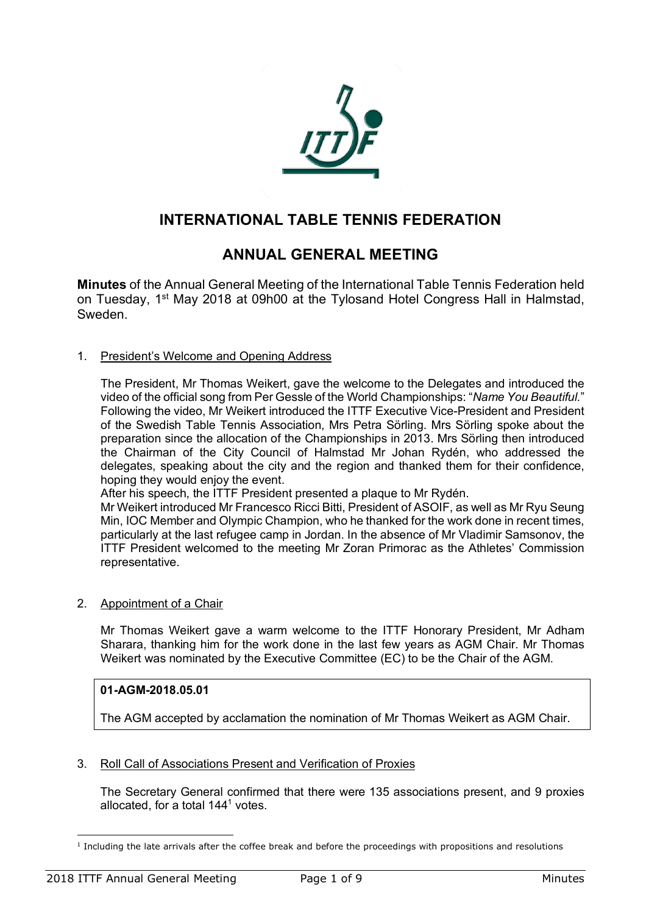

# **INTERNATIONAL TABLE TENNIS FEDERATION**

# **ANNUAL GENERAL MEETING**

**Minutes** of the Annual General Meeting of the International Table Tennis Federation held on Tuesday, 1st May 2018 at 09h00 at the Tylosand Hotel Congress Hall in Halmstad, Sweden.

1. President's Welcome and Opening Address

The President, Mr Thomas Weikert, gave the welcome to the Delegates and introduced the video of the official song from Per Gessle of the World Championships: "*Name You Beautiful.*" Following the video, Mr Weikert introduced the ITTF Executive Vice-President and President of the Swedish Table Tennis Association, Mrs Petra Sörling. Mrs Sörling spoke about the preparation since the allocation of the Championships in 2013. Mrs Sörling then introduced the Chairman of the City Council of Halmstad Mr Johan Rydén, who addressed the delegates, speaking about the city and the region and thanked them for their confidence, hoping they would enjoy the event.

After his speech, the ITTF President presented a plaque to Mr Rydén.

Mr Weikert introduced Mr Francesco Ricci Bitti, President of ASOIF, as well as Mr Ryu Seung Min, IOC Member and Olympic Champion, who he thanked for the work done in recent times, particularly at the last refugee camp in Jordan. In the absence of Mr Vladimir Samsonov, the ITTF President welcomed to the meeting Mr Zoran Primorac as the Athletes' Commission representative.

2. Appointment of a Chair

Mr Thomas Weikert gave a warm welcome to the ITTF Honorary President, Mr Adham Sharara, thanking him for the work done in the last few years as AGM Chair. Mr Thomas Weikert was nominated by the Executive Committee (EC) to be the Chair of the AGM.

# **01-AGM-2018.05.01**

The AGM accepted by acclamation the nomination of Mr Thomas Weikert as AGM Chair.

3. Roll Call of Associations Present and Verification of Proxies

The Secretary General confirmed that there were 135 associations present, and 9 proxies allocated, for a total 1441 votes.

 $\overline{a}$  $1$  Including the late arrivals after the coffee break and before the proceedings with propositions and resolutions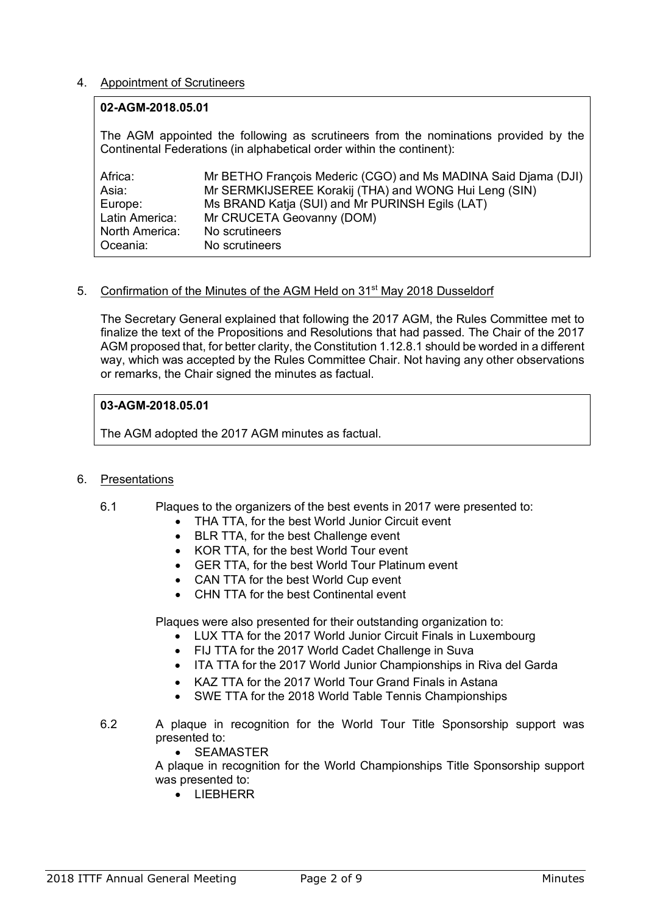## 4. Appointment of Scrutineers

#### **02-AGM-2018.05.01**

The AGM appointed the following as scrutineers from the nominations provided by the Continental Federations (in alphabetical order within the continent):

| Africa:        | Mr BETHO François Mederic (CGO) and Ms MADINA Said Diama (DJI) |
|----------------|----------------------------------------------------------------|
| Asia:          | Mr SERMKIJSEREE Korakij (THA) and WONG Hui Leng (SIN)          |
| Europe:        | Ms BRAND Katja (SUI) and Mr PURINSH Egils (LAT)                |
| Latin America: | Mr CRUCETA Geovanny (DOM)                                      |
| North America: | No scrutineers                                                 |
| Oceania:       | No scrutineers                                                 |

#### 5. Confirmation of the Minutes of the AGM Held on 31<sup>st</sup> May 2018 Dusseldorf

The Secretary General explained that following the 2017 AGM, the Rules Committee met to finalize the text of the Propositions and Resolutions that had passed. The Chair of the 2017 AGM proposed that, for better clarity, the Constitution 1.12.8.1 should be worded in a different way, which was accepted by the Rules Committee Chair. Not having any other observations or remarks, the Chair signed the minutes as factual.

## **03-AGM-2018.05.01**

The AGM adopted the 2017 AGM minutes as factual.

## 6. Presentations

- 6.1 Plaques to the organizers of the best events in 2017 were presented to:
	- THA TTA, for the best World Junior Circuit event
	- BLR TTA, for the best Challenge event
	- KOR TTA, for the best World Tour event
	- GER TTA, for the best World Tour Platinum event
	- CAN TTA for the best World Cup event
	- CHN TTA for the best Continental event

Plaques were also presented for their outstanding organization to:

- LUX TTA for the 2017 World Junior Circuit Finals in Luxembourg
- FIJ TTA for the 2017 World Cadet Challenge in Suva
- ITA TTA for the 2017 World Junior Championships in Riva del Garda
- KAZ TTA for the 2017 World Tour Grand Finals in Astana
- SWE TTA for the 2018 World Table Tennis Championships
- 6.2 A plaque in recognition for the World Tour Title Sponsorship support was presented to:
	- SEAMASTER

A plaque in recognition for the World Championships Title Sponsorship support was presented to:

• LIEBHERR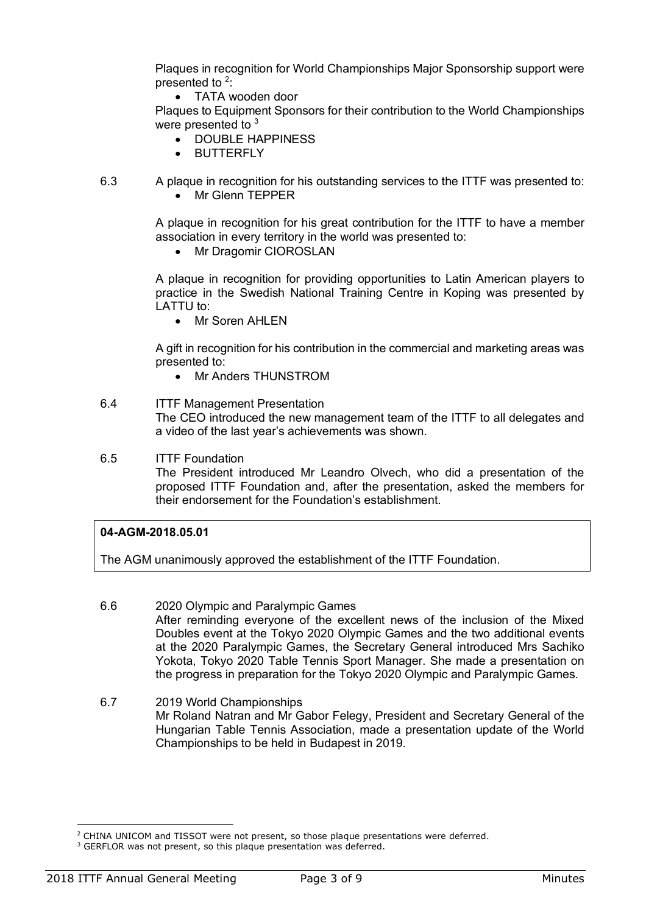Plaques in recognition for World Championships Major Sponsorship support were presented to <sup>2</sup>:

• TATA wooden door

Plaques to Equipment Sponsors for their contribution to the World Championships were presented to <sup>3</sup>

- DOUBLE HAPPINESS
- BUTTERFLY
- 6.3 A plaque in recognition for his outstanding services to the ITTF was presented to:
	- Mr Glenn TEPPER

A plaque in recognition for his great contribution for the ITTF to have a member association in every territory in the world was presented to:

• Mr Dragomir CIOROSLAN

A plaque in recognition for providing opportunities to Latin American players to practice in the Swedish National Training Centre in Koping was presented by  $I$  ATTU to:

Mr Soren AHI FN

A gift in recognition for his contribution in the commercial and marketing areas was presented to:

• Mr Anders THUNSTROM

# 6.4 ITTF Management Presentation The CEO introduced the new management team of the ITTF to all delegates and a video of the last year's achievements was shown.

6.5 ITTF Foundation The President introduced Mr Leandro Olvech, who did a presentation of the proposed ITTF Foundation and, after the presentation, asked the members for their endorsement for the Foundation's establishment.

# **04-AGM-2018.05.01**

The AGM unanimously approved the establishment of the ITTF Foundation.

- 6.6 2020 Olympic and Paralympic Games After reminding everyone of the excellent news of the inclusion of the Mixed Doubles event at the Tokyo 2020 Olympic Games and the two additional events at the 2020 Paralympic Games, the Secretary General introduced Mrs Sachiko Yokota, Tokyo 2020 Table Tennis Sport Manager. She made a presentation on the progress in preparation for the Tokyo 2020 Olympic and Paralympic Games.
- 6.7 2019 World Championships Mr Roland Natran and Mr Gabor Felegy, President and Secretary General of the Hungarian Table Tennis Association, made a presentation update of the World Championships to be held in Budapest in 2019.

l

<sup>&</sup>lt;sup>2</sup> CHINA UNICOM and TISSOT were not present, so those plaque presentations were deferred.

<sup>&</sup>lt;sup>3</sup> GERFLOR was not present, so this plaque presentation was deferred.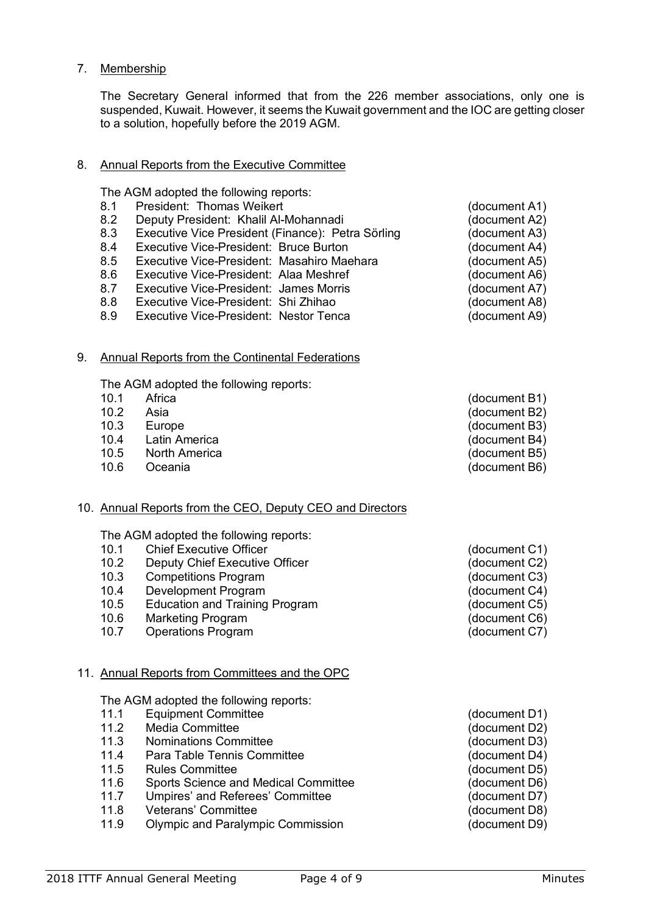The Secretary General informed that from the 226 member associations, only one is suspended, Kuwait. However, it seems the Kuwait government and the IOC are getting closer to a solution, hopefully before the 2019 AGM.

## 8. Annual Reports from the Executive Committee

The AGM adopted the following reports:

- 8.1 President: Thomas Weikert (document A1)
- 8.2 Deputy President: Khalil Al-Mohannadi (document A2)<br>8.3 Executive Vice President (Finance): Petra Sörling (document A3)
- Executive Vice President (Finance): Petra Sörling
- 8.4 Executive Vice-President: Bruce Burton (document A4)
- 8.5 Executive Vice-President: Masahiro Maehara (document A5)
- 8.6 Executive Vice-President: Alaa Meshref (document A6)
- 8.7 Executive Vice-President: James Morris (document A7)
- 8.8 Executive Vice-President: Shi Zhihao (document A8)<br>8.9 Executive Vice-President: Nestor Tenca (document A9)
- Executive Vice-President: Nestor Tenca (document A9)

## 9. Annual Reports from the Continental Federations

The AGM adopted the following reports:

- 
- 
- 
- 10.4 Latin America (document B4)
- 10.5 North America (document B5)
- 10.6 Oceania (document B6)

## 10. Annual Reports from the CEO, Deputy CEO and Directors

The AGM adopted the following reports:

- 10.1 Chief Executive Officer (document C1)
- 10.2 Deputy Chief Executive Officer (document C2)
- 10.3 Competitions Program (document C3)
- 10.4 Development Program (document C4)
- 10.5 Education and Training Program (document C5)
- 10.6 Marketing Program (document C6)
- 10.7 Operations Program (document C7)

## 11. Annual Reports from Committees and the OPC

The AGM adopted the following reports:

- 11.1 Equipment Committee (document D1)
- 11.2 Media Committee (document D2)
- 11.3 Nominations Committee (document D3)
- 11.4 Para Table Tennis Committee (document D4)
- 11.5 Rules Committee (document D5)
- 11.6 Sports Science and Medical Committee (document D6)
- 11.7 Umpires' and Referees' Committee (document D7)
- 11.8 Veterans' Committee (document D8)
- 11.9 Olympic and Paralympic Commission (document D9)
- 
- 10.2 Asia (document B2)<br>10.3 Europe (document B3) Europe (document B3)

- 
- 
- 
- 

10.1 Africa (document B1)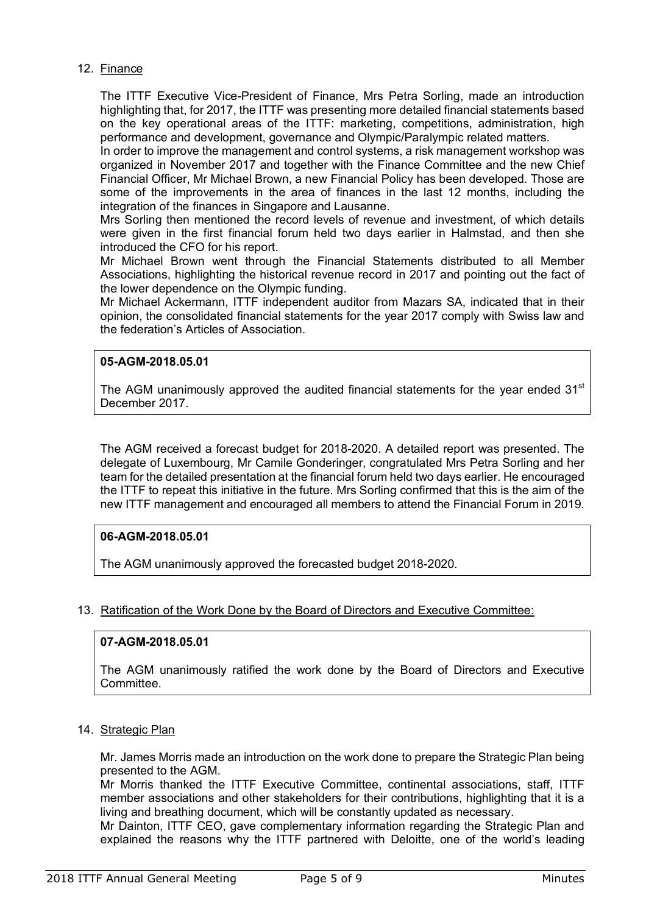## 12. Finance

The ITTF Executive Vice-President of Finance, Mrs Petra Sorling, made an introduction highlighting that, for 2017, the ITTF was presenting more detailed financial statements based on the key operational areas of the ITTF: marketing, competitions, administration, high performance and development, governance and Olympic/Paralympic related matters.

In order to improve the management and control systems, a risk management workshop was organized in November 2017 and together with the Finance Committee and the new Chief Financial Officer, Mr Michael Brown, a new Financial Policy has been developed. Those are some of the improvements in the area of finances in the last 12 months, including the integration of the finances in Singapore and Lausanne.

Mrs Sorling then mentioned the record levels of revenue and investment, of which details were given in the first financial forum held two days earlier in Halmstad, and then she introduced the CFO for his report.

Mr Michael Brown went through the Financial Statements distributed to all Member Associations, highlighting the historical revenue record in 2017 and pointing out the fact of the lower dependence on the Olympic funding.

Mr Michael Ackermann, ITTF independent auditor from Mazars SA, indicated that in their opinion, the consolidated financial statements for the year 2017 comply with Swiss law and the federation's Articles of Association.

#### **05-AGM-2018.05.01**

The AGM unanimously approved the audited financial statements for the year ended 31<sup>st</sup> December 2017.

The AGM received a forecast budget for 2018-2020. A detailed report was presented. The delegate of Luxembourg, Mr Camile Gonderinger, congratulated Mrs Petra Sorling and her team for the detailed presentation at the financial forum held two days earlier. He encouraged the ITTF to repeat this initiative in the future. Mrs Sorling confirmed that this is the aim of the new ITTF management and encouraged all members to attend the Financial Forum in 2019.

## **06-AGM-2018.05.01**

The AGM unanimously approved the forecasted budget 2018-2020.

## 13. Ratification of the Work Done by the Board of Directors and Executive Committee:

## **07-AGM-2018.05.01**

The AGM unanimously ratified the work done by the Board of Directors and Executive Committee.

## 14. Strategic Plan

Mr. James Morris made an introduction on the work done to prepare the Strategic Plan being presented to the AGM.

Mr Morris thanked the ITTF Executive Committee, continental associations, staff, ITTF member associations and other stakeholders for their contributions, highlighting that it is a living and breathing document, which will be constantly updated as necessary.

Mr Dainton, ITTF CEO, gave complementary information regarding the Strategic Plan and explained the reasons why the ITTF partnered with Deloitte, one of the world's leading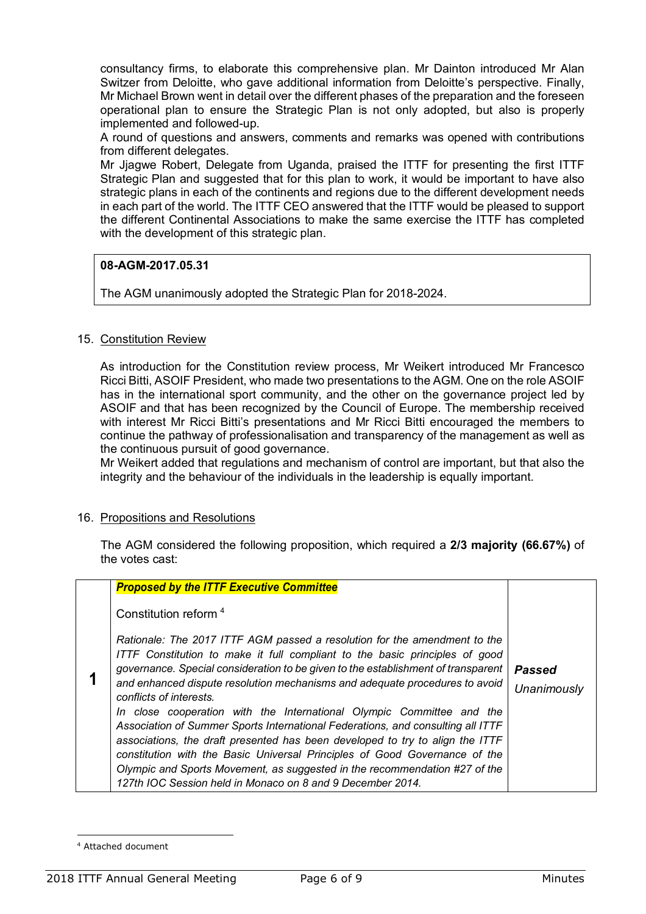consultancy firms, to elaborate this comprehensive plan. Mr Dainton introduced Mr Alan Switzer from Deloitte, who gave additional information from Deloitte's perspective. Finally, Mr Michael Brown went in detail over the different phases of the preparation and the foreseen operational plan to ensure the Strategic Plan is not only adopted, but also is properly implemented and followed-up.

A round of questions and answers, comments and remarks was opened with contributions from different delegates.

Mr Jjagwe Robert, Delegate from Uganda, praised the ITTF for presenting the first ITTF Strategic Plan and suggested that for this plan to work, it would be important to have also strategic plans in each of the continents and regions due to the different development needs in each part of the world. The ITTF CEO answered that the ITTF would be pleased to support the different Continental Associations to make the same exercise the ITTF has completed with the development of this strategic plan.

## **08-AGM-2017.05.31**

The AGM unanimously adopted the Strategic Plan for 2018-2024.

## 15. Constitution Review

As introduction for the Constitution review process, Mr Weikert introduced Mr Francesco Ricci Bitti, ASOIF President, who made two presentations to the AGM. One on the role ASOIF has in the international sport community, and the other on the governance project led by ASOIF and that has been recognized by the Council of Europe. The membership received with interest Mr Ricci Bitti's presentations and Mr Ricci Bitti encouraged the members to continue the pathway of professionalisation and transparency of the management as well as the continuous pursuit of good governance.

Mr Weikert added that regulations and mechanism of control are important, but that also the integrity and the behaviour of the individuals in the leadership is equally important.

#### 16. Propositions and Resolutions

The AGM considered the following proposition, which required a **2/3 majority (66.67%)** of the votes cast:

| <b>Proposed by the ITTF Executive Committee</b>                                                                                                                                                                                                                                                                                                                                                                                                                                                                                                                                                                                                                                                                                                                                                                                |                       |
|--------------------------------------------------------------------------------------------------------------------------------------------------------------------------------------------------------------------------------------------------------------------------------------------------------------------------------------------------------------------------------------------------------------------------------------------------------------------------------------------------------------------------------------------------------------------------------------------------------------------------------------------------------------------------------------------------------------------------------------------------------------------------------------------------------------------------------|-----------------------|
| Constitution reform <sup>4</sup>                                                                                                                                                                                                                                                                                                                                                                                                                                                                                                                                                                                                                                                                                                                                                                                               |                       |
| Rationale: The 2017 ITTF AGM passed a resolution for the amendment to the<br>ITTF Constitution to make it full compliant to the basic principles of good<br>governance. Special consideration to be given to the establishment of transparent<br>and enhanced dispute resolution mechanisms and adequate procedures to avoid<br>conflicts of interests.<br>In close cooperation with the International Olympic Committee and the<br>Association of Summer Sports International Federations, and consulting all ITTF<br>associations, the draft presented has been developed to try to align the ITTF<br>constitution with the Basic Universal Principles of Good Governance of the<br>Olympic and Sports Movement, as suggested in the recommendation #27 of the<br>127th IOC Session held in Monaco on 8 and 9 December 2014. | Passed<br>Unanimously |

 $\overline{a}$ 

<sup>4</sup> Attached document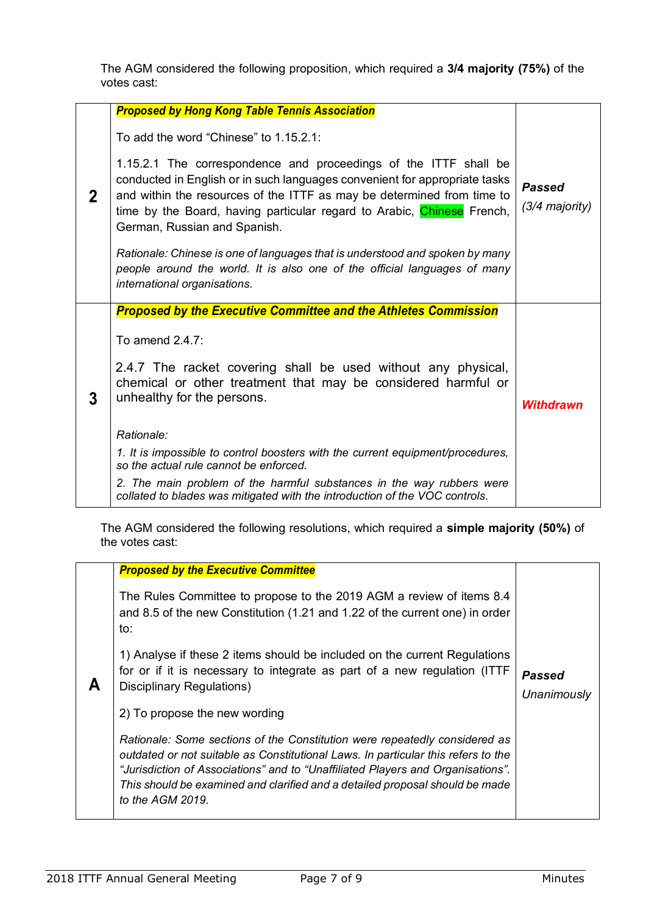The AGM considered the following proposition, which required a **3/4 majority (75%)** of the votes cast:

|             | <b>Proposed by Hong Kong Table Tennis Association</b>                                                                                                                                                                                                                                                                              |                                 |
|-------------|------------------------------------------------------------------------------------------------------------------------------------------------------------------------------------------------------------------------------------------------------------------------------------------------------------------------------------|---------------------------------|
|             | To add the word "Chinese" to 1.15.2.1:                                                                                                                                                                                                                                                                                             |                                 |
| $\mathbf 2$ | 1.15.2.1 The correspondence and proceedings of the ITTF shall be<br>conducted in English or in such languages convenient for appropriate tasks<br>and within the resources of the ITTF as may be determined from time to<br>time by the Board, having particular regard to Arabic, Chinese French,<br>German, Russian and Spanish. | <b>Passed</b><br>(3/4 majority) |
|             | Rationale: Chinese is one of languages that is understood and spoken by many<br>people around the world. It is also one of the official languages of many<br>international organisations.                                                                                                                                          |                                 |
|             | <b>Proposed by the Executive Committee and the Athletes Commission</b>                                                                                                                                                                                                                                                             |                                 |
|             | To amend 2.4.7:                                                                                                                                                                                                                                                                                                                    |                                 |
|             |                                                                                                                                                                                                                                                                                                                                    |                                 |
| 3           | 2.4.7 The racket covering shall be used without any physical,<br>chemical or other treatment that may be considered harmful or<br>unhealthy for the persons.                                                                                                                                                                       | <b>Withdrawn</b>                |
|             | Rationale:                                                                                                                                                                                                                                                                                                                         |                                 |
|             | 1. It is impossible to control boosters with the current equipment/procedures,<br>so the actual rule cannot be enforced.                                                                                                                                                                                                           |                                 |

The AGM considered the following resolutions, which required a **simple majority (50%)** of the votes cast:

|  | <b>Proposed by the Executive Committee</b>                                                                                                                                                                                                                                                                                                               |                       |
|--|----------------------------------------------------------------------------------------------------------------------------------------------------------------------------------------------------------------------------------------------------------------------------------------------------------------------------------------------------------|-----------------------|
|  | The Rules Committee to propose to the 2019 AGM a review of items 8.4<br>and 8.5 of the new Constitution (1.21 and 1.22 of the current one) in order<br>to:                                                                                                                                                                                               |                       |
|  | 1) Analyse if these 2 items should be included on the current Regulations<br>for or if it is necessary to integrate as part of a new regulation (ITTF<br>Disciplinary Regulations)                                                                                                                                                                       | Passed<br>Unanimously |
|  | 2) To propose the new wording                                                                                                                                                                                                                                                                                                                            |                       |
|  | Rationale: Some sections of the Constitution were repeatedly considered as<br>outdated or not suitable as Constitutional Laws. In particular this refers to the<br>"Jurisdiction of Associations" and to "Unaffiliated Players and Organisations".<br>This should be examined and clarified and a detailed proposal should be made<br>to the $AGM$ 2019. |                       |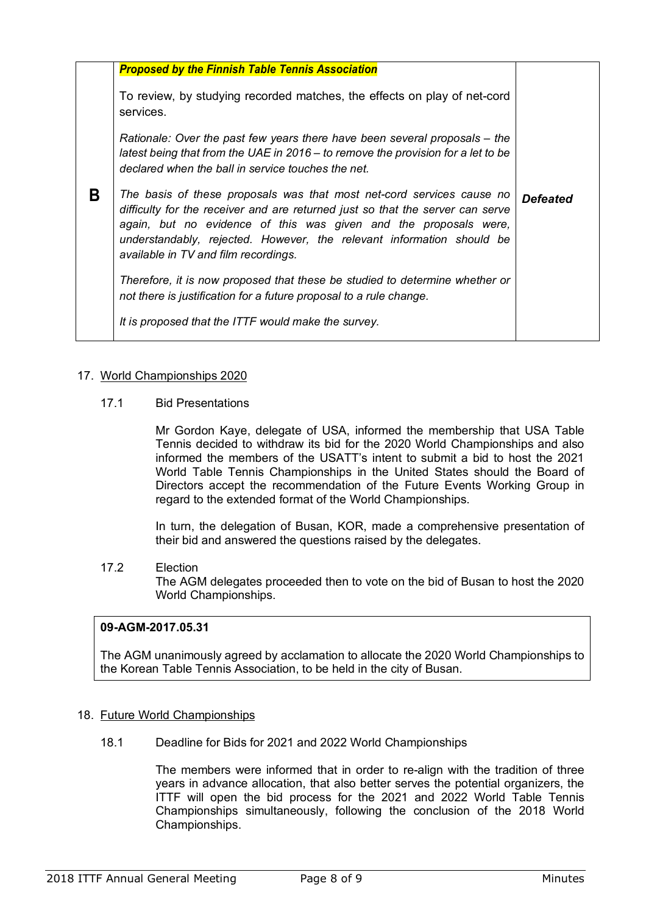|   | <b>Proposed by the Finnish Table Tennis Association</b>                                                                                                                                                                                                                                                                                      |                 |
|---|----------------------------------------------------------------------------------------------------------------------------------------------------------------------------------------------------------------------------------------------------------------------------------------------------------------------------------------------|-----------------|
|   | To review, by studying recorded matches, the effects on play of net-cord<br>services.                                                                                                                                                                                                                                                        |                 |
|   | Rationale: Over the past few years there have been several proposals – the<br>latest being that from the UAE in $2016 -$ to remove the provision for a let to be<br>declared when the ball in service touches the net.                                                                                                                       |                 |
| B | The basis of these proposals was that most net-cord services cause no<br>difficulty for the receiver and are returned just so that the server can serve<br>again, but no evidence of this was given and the proposals were,<br>understandably, rejected. However, the relevant information should be<br>available in TV and film recordings. | <b>Defeated</b> |
|   | Therefore, it is now proposed that these be studied to determine whether or<br>not there is justification for a future proposal to a rule change.                                                                                                                                                                                            |                 |
|   | It is proposed that the ITTF would make the survey.                                                                                                                                                                                                                                                                                          |                 |

# 17. World Championships 2020

# 17.1 Bid Presentations

Mr Gordon Kaye, delegate of USA, informed the membership that USA Table Tennis decided to withdraw its bid for the 2020 World Championships and also informed the members of the USATT's intent to submit a bid to host the 2021 World Table Tennis Championships in the United States should the Board of Directors accept the recommendation of the Future Events Working Group in regard to the extended format of the World Championships.

In turn, the delegation of Busan, KOR, made a comprehensive presentation of their bid and answered the questions raised by the delegates.

## 17.2 Election

The AGM delegates proceeded then to vote on the bid of Busan to host the 2020 World Championships.

## **09-AGM-2017.05.31**

The AGM unanimously agreed by acclamation to allocate the 2020 World Championships to the Korean Table Tennis Association, to be held in the city of Busan.

## 18. Future World Championships

18.1 Deadline for Bids for 2021 and 2022 World Championships

The members were informed that in order to re-align with the tradition of three years in advance allocation, that also better serves the potential organizers, the ITTF will open the bid process for the 2021 and 2022 World Table Tennis Championships simultaneously, following the conclusion of the 2018 World Championships.